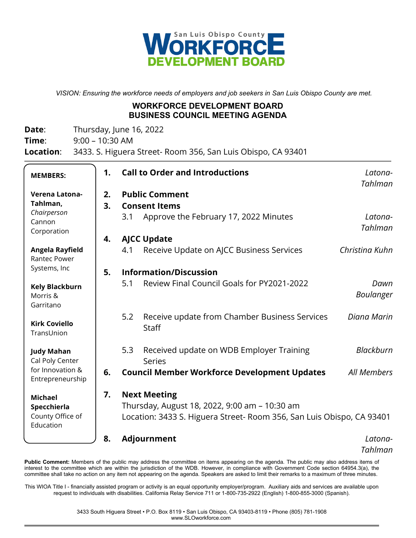

*VISION: Ensuring the workforce needs of employers and job seekers in San Luis Obispo County are met.*

#### **WORKFORCE DEVELOPMENT BOARD BUSINESS COUNCIL MEETING AGENDA**

**Date:** Thursday, June 16, 2022

**Time**: 9:00 – 10:30 AM

**Location**: 3433. S. Higuera Street- Room 356, San Luis Obispo, CA 93401

| <b>MEMBERS:</b>                        | 1. | <b>Call to Order and Introductions</b>                                |                                                               | Latona-<br>Tahlman |  |
|----------------------------------------|----|-----------------------------------------------------------------------|---------------------------------------------------------------|--------------------|--|
| Verena Latona-                         | 2. | <b>Public Comment</b>                                                 |                                                               |                    |  |
| Tahlman,                               | 3. | <b>Consent Items</b>                                                  |                                                               |                    |  |
| Chairperson<br>Cannon                  |    | 3.1                                                                   | Approve the February 17, 2022 Minutes                         | Latona-            |  |
| Corporation                            |    |                                                                       |                                                               | Tahlman            |  |
|                                        | 4. | <b>AJCC Update</b>                                                    |                                                               |                    |  |
| Angela Rayfield<br><b>Rantec Power</b> |    | 4.1                                                                   | Receive Update on AJCC Business Services                      | Christina Kuhn     |  |
| Systems, Inc                           | 5. | <b>Information/Discussion</b>                                         |                                                               |                    |  |
| <b>Kely Blackburn</b>                  |    | 5.1                                                                   | Review Final Council Goals for PY2021-2022                    | Dawn               |  |
| Morris &<br>Garritano                  |    |                                                                       |                                                               | Boulanger          |  |
| <b>Kirk Coviello</b><br>TransUnion     |    | 5.2                                                                   | Receive update from Chamber Business Services<br><b>Staff</b> | Diana Marin        |  |
|                                        |    | 5.3                                                                   | Received update on WDB Employer Training                      | Blackburn          |  |
| <b>Judy Mahan</b><br>Cal Poly Center   |    |                                                                       | <b>Series</b>                                                 |                    |  |
| for Innovation &<br>Entrepreneurship   | 6. |                                                                       | <b>Council Member Workforce Development Updates</b>           | All Members        |  |
| <b>Michael</b>                         | 7. | <b>Next Meeting</b>                                                   |                                                               |                    |  |
| Specchierla                            |    |                                                                       | Thursday, August 18, 2022, 9:00 am – 10:30 am                 |                    |  |
| County Office of<br>Education          |    | Location: 3433 S. Higuera Street- Room 356, San Luis Obispo, CA 93401 |                                                               |                    |  |
|                                        | 8. |                                                                       | Adjournment                                                   | Latona-            |  |
|                                        |    |                                                                       |                                                               | Tahlman            |  |

Public Comment: Members of the public may address the committee on items appearing on the agenda. The public may also address items of interest to the committee which are within the jurisdiction of the WDB. However, in compliance with Government Code section 64954.3(a), the committee shall take no action on any item not appearing on the agenda. Speakers are asked to limit their remarks to a maximum of three minutes.

This WIOA Title I - financially assisted program or activity is an equal opportunity employer/program. Auxiliary aids and services are available upon request to individuals with disabilities. California Relay Service 711 or 1-800-735-2922 (English) 1-800-855-3000 (Spanish).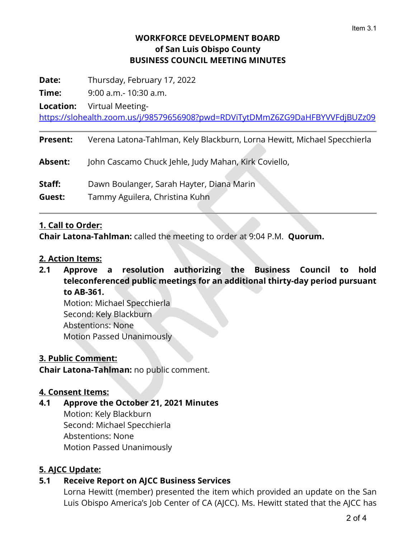## **WORKFORCE DEVELOPMENT BOARD of San Luis Obispo County BUSINESS COUNCIL MEETING MINUTES**

**Date:** Thursday, February 17, 2022

**Time:** 9:00 a.m.- 10:30 a.m.

**Location:** Virtual Meeting-

https://slohealth.zoom.us/j/98579656908?pwd=RDViTytDMmZ6ZG9DaHFBYVVFdjBUZz09

**Present:** Verena Latona-Tahlman, Kely Blackburn, Lorna Hewitt, Michael Specchierla

**Absent:** John Cascamo Chuck Jehle, Judy Mahan, Kirk Coviello,

**Staff:** Dawn Boulanger, Sarah Hayter, Diana Marin

**Guest:** Tammy Aguilera, Christina Kuhn

## **1. Call to Order:**

**Chair Latona-Tahlman:** called the meeting to order at 9:04 P.M. **Quorum.**

## **2. Action Items:**

**2.1 Approve a resolution authorizing the Business Council to hold teleconferenced public meetings for an additional thirty-day period pursuant to AB-361.**

Motion: Michael Specchierla Second: Kely Blackburn Abstentions: None Motion Passed Unanimously

## **3. Public Comment:**

**Chair Latona-Tahlman:** no public comment.

## **4. Consent Items:**

## **4.1 Approve the October 21, 2021 Minutes**

Motion: Kely Blackburn Second: Michael Specchierla Abstentions: None Motion Passed Unanimously

## **5. AJCC Update:**

## **5.1 Receive Report on AJCC Business Services**

Lorna Hewitt (member) presented the item which provided an update on the San Luis Obispo America's Job Center of CA (AJCC). Ms. Hewitt stated that the AJCC has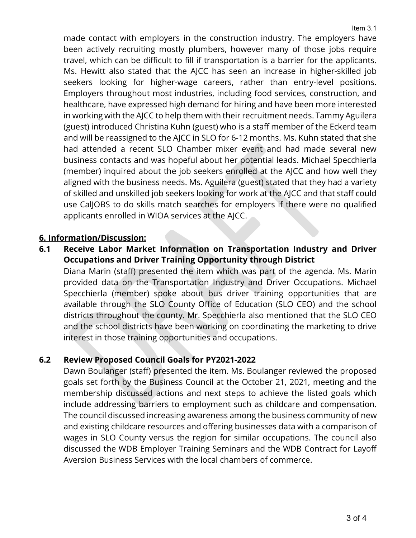made contact with employers in the construction industry. The employers have been actively recruiting mostly plumbers, however many of those jobs require travel, which can be difficult to fill if transportation is a barrier for the applicants. Ms. Hewitt also stated that the AJCC has seen an increase in higher-skilled job seekers looking for higher-wage careers, rather than entry-level positions. Employers throughout most industries, including food services, construction, and healthcare, have expressed high demand for hiring and have been more interested in working with the AJCC to help them with their recruitment needs. Tammy Aguilera (guest) introduced Christina Kuhn (guest) who is a staff member of the Eckerd team and will be reassigned to the AJCC in SLO for 6-12 months. Ms. Kuhn stated that she had attended a recent SLO Chamber mixer event and had made several new business contacts and was hopeful about her potential leads. Michael Specchierla (member) inquired about the job seekers enrolled at the AJCC and how well they aligned with the business needs. Ms. Aguilera (guest) stated that they had a variety of skilled and unskilled job seekers looking for work at the AJCC and that staff could use CalJOBS to do skills match searches for employers if there were no qualified applicants enrolled in WIOA services at the AJCC.

#### **6. Information/Discussion:**

**6.1 Receive Labor Market Information on Transportation Industry and Driver Occupations and Driver Training Opportunity through District**

Diana Marin (staff) presented the item which was part of the agenda. Ms. Marin provided data on the Transportation Industry and Driver Occupations. Michael Specchierla (member) spoke about bus driver training opportunities that are available through the SLO County Office of Education (SLO CEO) and the school districts throughout the county. Mr. Specchierla also mentioned that the SLO CEO and the school districts have been working on coordinating the marketing to drive interest in those training opportunities and occupations.

#### **6.2 Review Proposed Council Goals for PY2021-2022**

Dawn Boulanger (staff) presented the item. Ms. Boulanger reviewed the proposed goals set forth by the Business Council at the October 21, 2021, meeting and the membership discussed actions and next steps to achieve the listed goals which include addressing barriers to employment such as childcare and compensation. The council discussed increasing awareness among the business community of new and existing childcare resources and offering businesses data with a comparison of wages in SLO County versus the region for similar occupations. The council also discussed the WDB Employer Training Seminars and the WDB Contract for Layoff Aversion Business Services with the local chambers of commerce.